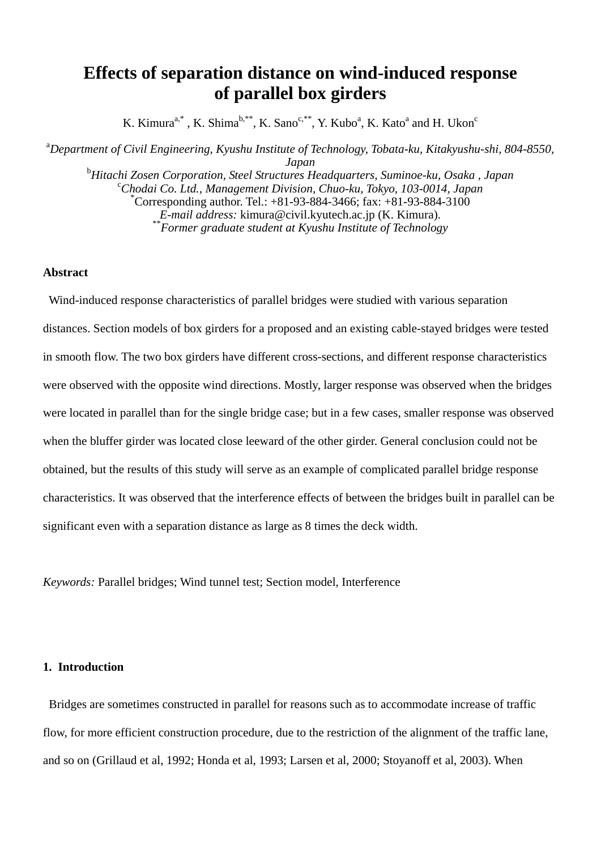# **Effects of separation distance on wind-induced response of parallel box girders**

K. Kimura<sup>a,\*</sup>, K. Shima<sup>b,\*\*</sup>, K. Sano<sup>c,\*\*</sup>, Y. Kubo<sup>a</sup>, K. Kato<sup>a</sup> and H. Ukon<sup>c</sup>

a *Department of Civil Engineering, Kyushu Institute of Technology, Tobata-ku, Kitakyushu-shi, 804-8550, Japan* <sup>b</sup> *Hitachi Zosen Corporation, Steel Structures Headquarters, Suminoe-ku, Osaka , Japan* <sup>c</sup> *Chodai Co. Ltd., Management Division, Chuo-ku, Tokyo, 103-0014, Japan* \* Corresponding author. Tel.:  $+81-93-884-3466$ ; fax:  $+81-93-884-3100$ <br>E-mail address: kimura@civil.kyutech.ac.jp (K. Kimura).  $\epsilon$ <sup>\*</sup> Former graduate student at Kyushu Institute of Technology

## **Abstract**

 Wind-induced response characteristics of parallel bridges were studied with various separation distances. Section models of box girders for a proposed and an existing cable-stayed bridges were tested in smooth flow. The two box girders have different cross-sections, and different response characteristics were observed with the opposite wind directions. Mostly, larger response was observed when the bridges were located in parallel than for the single bridge case; but in a few cases, smaller response was observed when the bluffer girder was located close leeward of the other girder. General conclusion could not be obtained, but the results of this study will serve as an example of complicated parallel bridge response characteristics. It was observed that the interference effects of between the bridges built in parallel can be significant even with a separation distance as large as 8 times the deck width.

*Keywords:* Parallel bridges; Wind tunnel test; Section model, Interference

## **1. Introduction**

 Bridges are sometimes constructed in parallel for reasons such as to accommodate increase of traffic flow, for more efficient construction procedure, due to the restriction of the alignment of the traffic lane, and so on (Grillaud et al, 1992; Honda et al, 1993; Larsen et al, 2000; Stoyanoff et al, 2003). When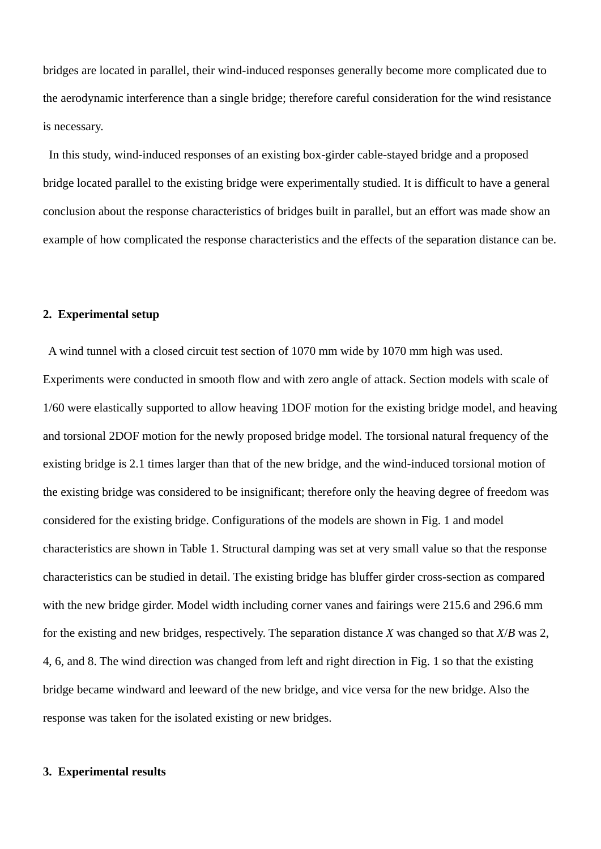bridges are located in parallel, their wind-induced responses generally become more complicated due to the aerodynamic interference than a single bridge; therefore careful consideration for the wind resistance is necessary.

 In this study, wind-induced responses of an existing box-girder cable-stayed bridge and a proposed bridge located parallel to the existing bridge were experimentally studied. It is difficult to have a general conclusion about the response characteristics of bridges built in parallel, but an effort was made show an example of how complicated the response characteristics and the effects of the separation distance can be.

## **2. Experimental setup**

 A wind tunnel with a closed circuit test section of 1070 mm wide by 1070 mm high was used. Experiments were conducted in smooth flow and with zero angle of attack. Section models with scale of 1/60 were elastically supported to allow heaving 1DOF motion for the existing bridge model, and heaving and torsional 2DOF motion for the newly proposed bridge model. The torsional natural frequency of the existing bridge is 2.1 times larger than that of the new bridge, and the wind-induced torsional motion of the existing bridge was considered to be insignificant; therefore only the heaving degree of freedom was considered for the existing bridge. Configurations of the models are shown in Fig. 1 and model characteristics are shown in Table 1. Structural damping was set at very small value so that the response characteristics can be studied in detail. The existing bridge has bluffer girder cross-section as compared with the new bridge girder. Model width including corner vanes and fairings were 215.6 and 296.6 mm for the existing and new bridges, respectively. The separation distance *X* was changed so that *X*/*B* was 2, 4, 6, and 8. The wind direction was changed from left and right direction in Fig. 1 so that the existing bridge became windward and leeward of the new bridge, and vice versa for the new bridge. Also the response was taken for the isolated existing or new bridges.

#### **3. Experimental results**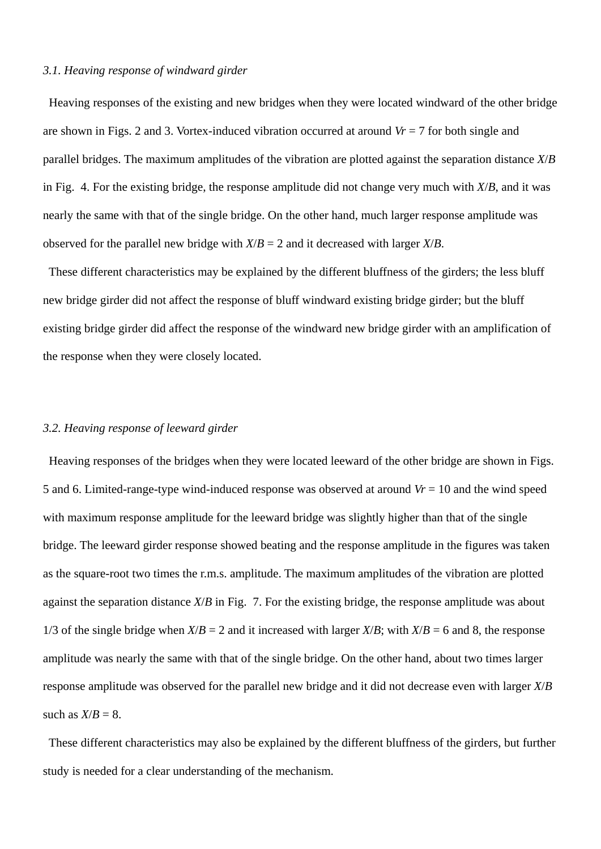#### *3.1. Heaving response of windward girder*

 Heaving responses of the existing and new bridges when they were located windward of the other bridge are shown in Figs. 2 and 3. Vortex-induced vibration occurred at around *Vr* = 7 for both single and parallel bridges. The maximum amplitudes of the vibration are plotted against the separation distance *X*/*B* in Fig. 4. For the existing bridge, the response amplitude did not change very much with *X*/*B*, and it was nearly the same with that of the single bridge. On the other hand, much larger response amplitude was observed for the parallel new bridge with  $X/B = 2$  and it decreased with larger  $X/B$ .

 These different characteristics may be explained by the different bluffness of the girders; the less bluff new bridge girder did not affect the response of bluff windward existing bridge girder; but the bluff existing bridge girder did affect the response of the windward new bridge girder with an amplification of the response when they were closely located.

#### *3.2. Heaving response of leeward girder*

 Heaving responses of the bridges when they were located leeward of the other bridge are shown in Figs. 5 and 6. Limited-range-type wind-induced response was observed at around *Vr* = 10 and the wind speed with maximum response amplitude for the leeward bridge was slightly higher than that of the single bridge. The leeward girder response showed beating and the response amplitude in the figures was taken as the square-root two times the r.m.s. amplitude. The maximum amplitudes of the vibration are plotted against the separation distance *X*/*B* in Fig. 7. For the existing bridge, the response amplitude was about 1/3 of the single bridge when  $X/B = 2$  and it increased with larger  $X/B$ ; with  $X/B = 6$  and 8, the response amplitude was nearly the same with that of the single bridge. On the other hand, about two times larger response amplitude was observed for the parallel new bridge and it did not decrease even with larger *X*/*B*  such as  $X/B = 8$ .

 These different characteristics may also be explained by the different bluffness of the girders, but further study is needed for a clear understanding of the mechanism.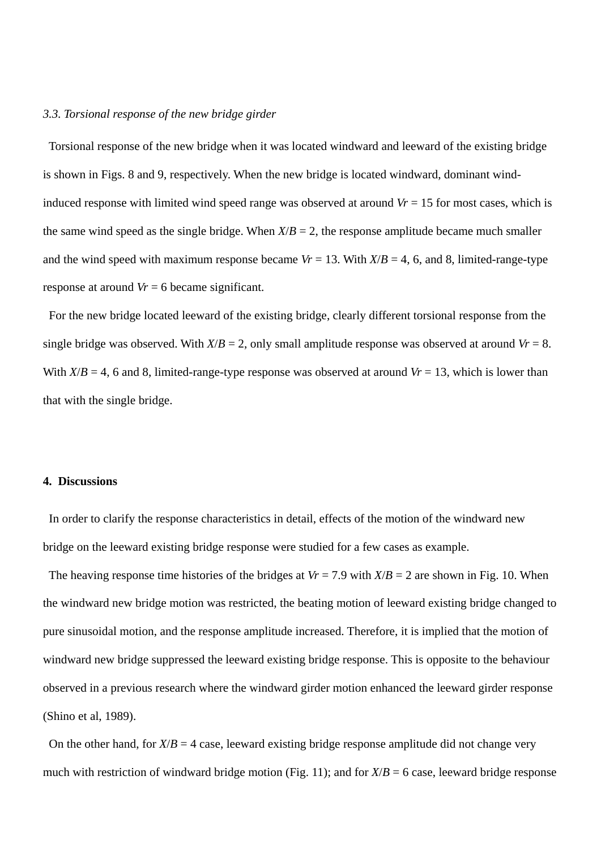#### *3.3. Torsional response of the new bridge girder*

 Torsional response of the new bridge when it was located windward and leeward of the existing bridge is shown in Figs. 8 and 9, respectively. When the new bridge is located windward, dominant windinduced response with limited wind speed range was observed at around  $V = 15$  for most cases, which is the same wind speed as the single bridge. When  $X/B = 2$ , the response amplitude became much smaller and the wind speed with maximum response became  $Vr = 13$ . With  $X/B = 4$ , 6, and 8, limited-range-type response at around *Vr* = 6 became significant.

 For the new bridge located leeward of the existing bridge, clearly different torsional response from the single bridge was observed. With  $X/B = 2$ , only small amplitude response was observed at around  $Vr = 8$ . With  $X/B = 4$ , 6 and 8, limited-range-type response was observed at around  $V = 13$ , which is lower than that with the single bridge.

## **4. Discussions**

 In order to clarify the response characteristics in detail, effects of the motion of the windward new bridge on the leeward existing bridge response were studied for a few cases as example.

The heaving response time histories of the bridges at  $V = 7.9$  with  $X/B = 2$  are shown in Fig. 10. When the windward new bridge motion was restricted, the beating motion of leeward existing bridge changed to pure sinusoidal motion, and the response amplitude increased. Therefore, it is implied that the motion of windward new bridge suppressed the leeward existing bridge response. This is opposite to the behaviour observed in a previous research where the windward girder motion enhanced the leeward girder response (Shino et al, 1989).

On the other hand, for  $X/B = 4$  case, leeward existing bridge response amplitude did not change very much with restriction of windward bridge motion (Fig. 11); and for  $X/B = 6$  case, leeward bridge response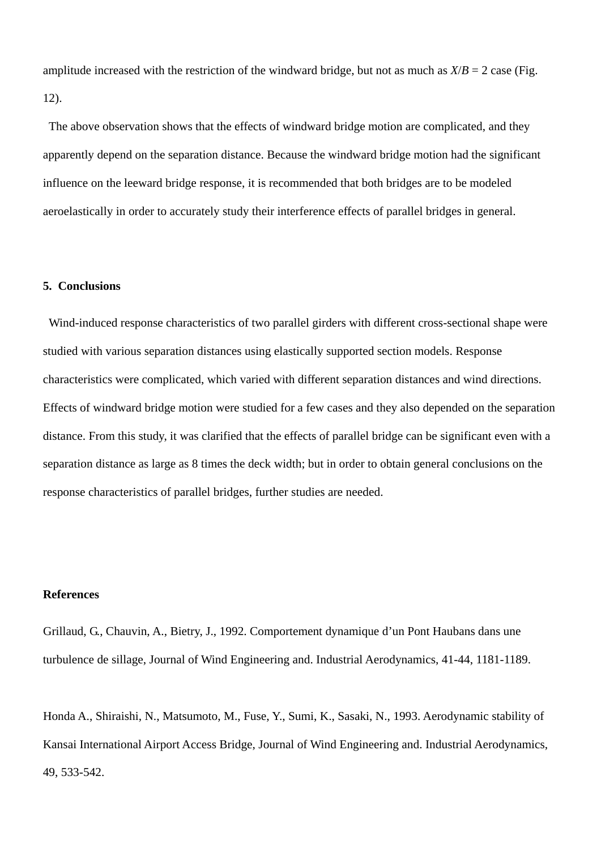amplitude increased with the restriction of the windward bridge, but not as much as  $X/B = 2$  case (Fig. 12).

 The above observation shows that the effects of windward bridge motion are complicated, and they apparently depend on the separation distance. Because the windward bridge motion had the significant influence on the leeward bridge response, it is recommended that both bridges are to be modeled aeroelastically in order to accurately study their interference effects of parallel bridges in general.

#### **5. Conclusions**

 Wind-induced response characteristics of two parallel girders with different cross-sectional shape were studied with various separation distances using elastically supported section models. Response characteristics were complicated, which varied with different separation distances and wind directions. Effects of windward bridge motion were studied for a few cases and they also depended on the separation distance. From this study, it was clarified that the effects of parallel bridge can be significant even with a separation distance as large as 8 times the deck width; but in order to obtain general conclusions on the response characteristics of parallel bridges, further studies are needed.

### **References**

Grillaud, G., Chauvin, A., Bietry, J., 1992. Comportement dynamique d'un Pont Haubans dans une turbulence de sillage, Journal of Wind Engineering and. Industrial Aerodynamics, 41-44, 1181-1189.

Honda A., Shiraishi, N., Matsumoto, M., Fuse, Y., Sumi, K., Sasaki, N., 1993. Aerodynamic stability of Kansai International Airport Access Bridge, Journal of Wind Engineering and. Industrial Aerodynamics, 49, 533-542.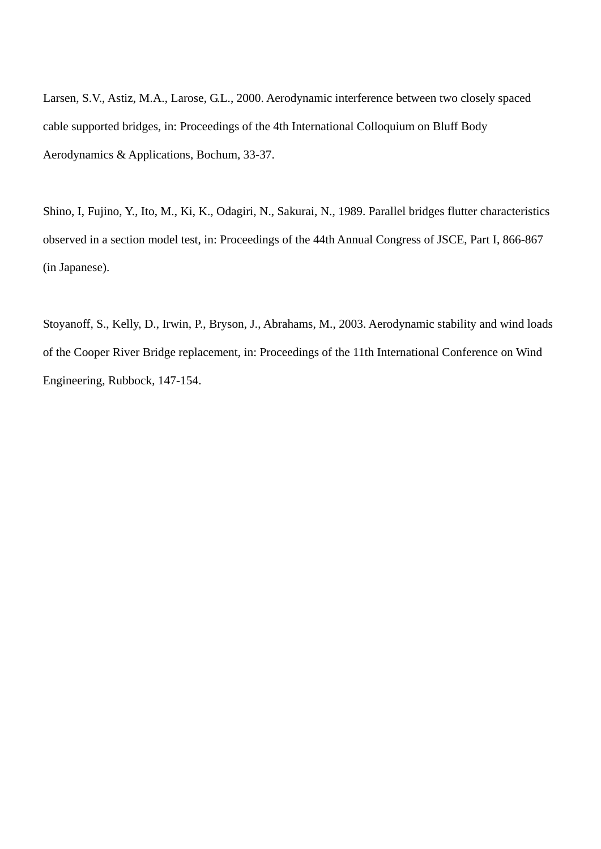Larsen, S.V., Astiz, M.A., Larose, G.L., 2000. Aerodynamic interference between two closely spaced cable supported bridges, in: Proceedings of the 4th International Colloquium on Bluff Body Aerodynamics & Applications, Bochum, 33-37.

Shino, I, Fujino, Y., Ito, M., Ki, K., Odagiri, N., Sakurai, N., 1989. Parallel bridges flutter characteristics observed in a section model test, in: Proceedings of the 44th Annual Congress of JSCE, Part I, 866-867 (in Japanese).

Stoyanoff, S., Kelly, D., Irwin, P., Bryson, J., Abrahams, M., 2003. Aerodynamic stability and wind loads of the Cooper River Bridge replacement, in: Proceedings of the 11th International Conference on Wind Engineering, Rubbock, 147-154.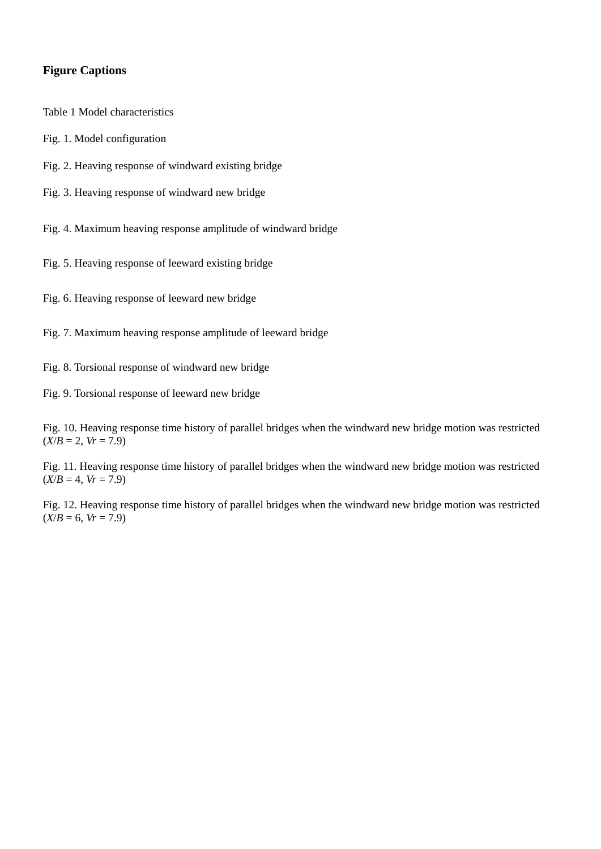## **Figure Captions**

Table 1 Model characteristics

- Fig. 1. Model configuration
- Fig. 2. Heaving response of windward existing bridge
- Fig. 3. Heaving response of windward new bridge

Fig. 4. Maximum heaving response amplitude of windward bridge

Fig. 5. Heaving response of leeward existing bridge

Fig. 6. Heaving response of leeward new bridge

Fig. 7. Maximum heaving response amplitude of leeward bridge

Fig. 8. Torsional response of windward new bridge

Fig. 9. Torsional response of leeward new bridge

Fig. 10. Heaving response time history of parallel bridges when the windward new bridge motion was restricted  $(X/B = 2, Vr = 7.9)$ 

Fig. 11. Heaving response time history of parallel bridges when the windward new bridge motion was restricted  $(X/B = 4, Vr = 7.9)$ 

Fig. 12. Heaving response time history of parallel bridges when the windward new bridge motion was restricted  $(X/B = 6, Vr = 7.9)$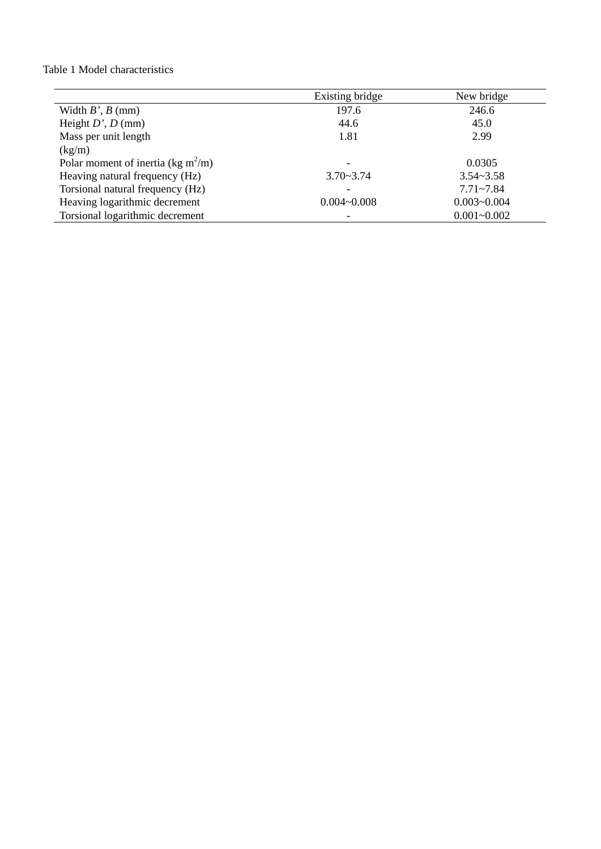### Table 1 Model characteristics

|                                                | Existing bridge          | New bridge      |
|------------------------------------------------|--------------------------|-----------------|
| Width $B'$ , $B$ (mm)                          | 197.6                    | 246.6           |
| Height $D'$ , $D$ (mm)                         | 44.6                     | 45.0            |
| Mass per unit length                           | 1.81                     | 2.99            |
| (kg/m)                                         |                          |                 |
| Polar moment of inertia (kg m <sup>2</sup> /m) | -                        | 0.0305          |
| Heaving natural frequency (Hz)                 | $3.70 - 3.74$            | $3.54 - 3.58$   |
| Torsional natural frequency (Hz)               | ۰                        | $7.71 - 7.84$   |
| Heaving logarithmic decrement                  | $0.004 - 0.008$          | $0.003 - 0.004$ |
| Torsional logarithmic decrement                | $\overline{\phantom{a}}$ | $0.001 - 0.002$ |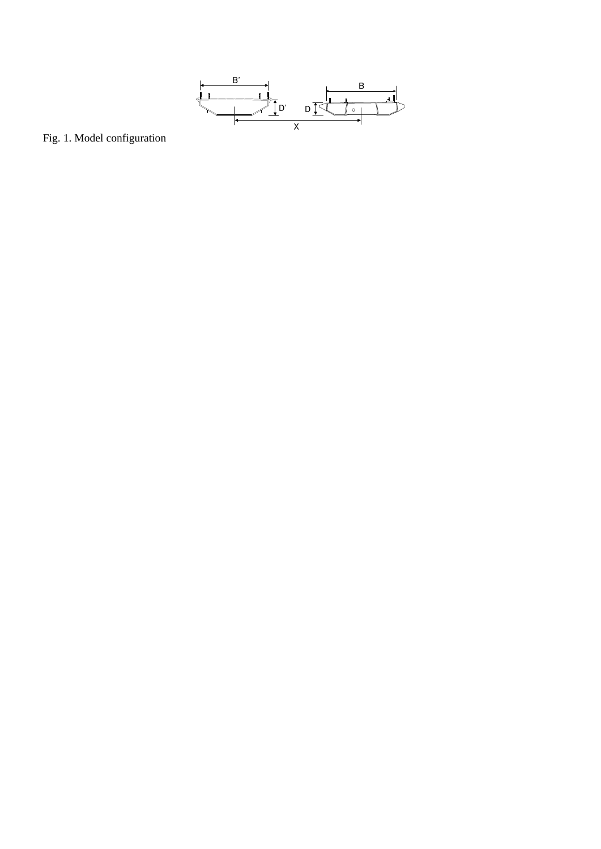

Fig. 1. Model configuration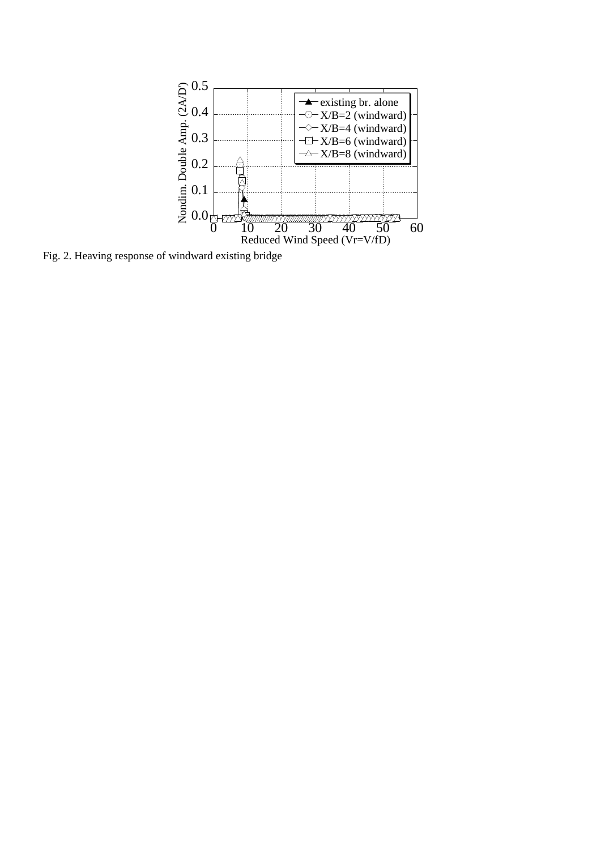

Fig. 2. Heaving response of windward existing bridge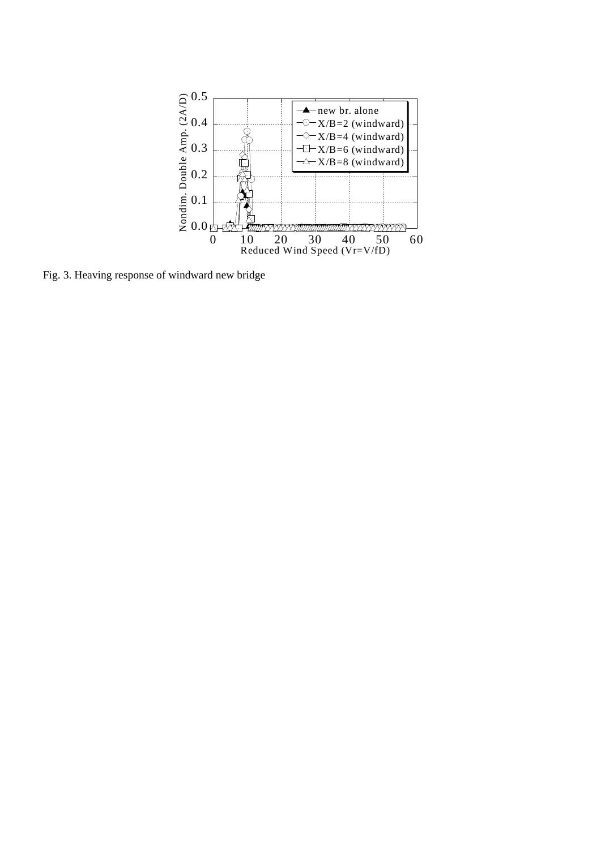

Fig. 3. Heaving response of windward new bridge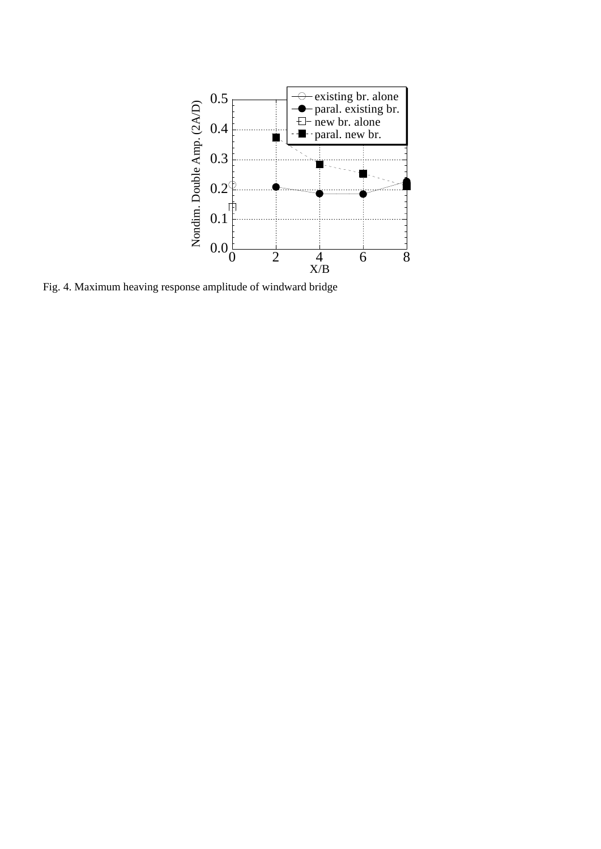

Fig. 4. Maximum heaving response amplitude of windward bridge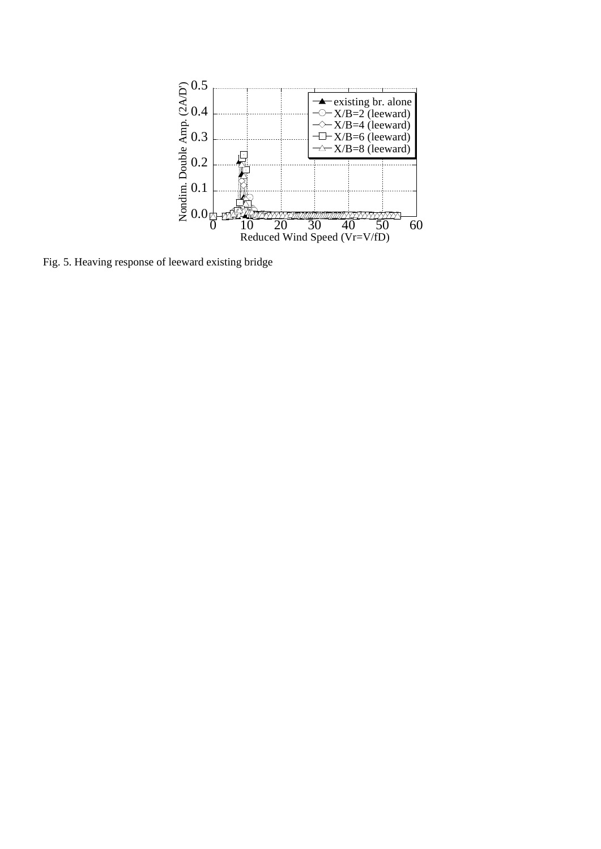

Fig. 5. Heaving response of leeward existing bridge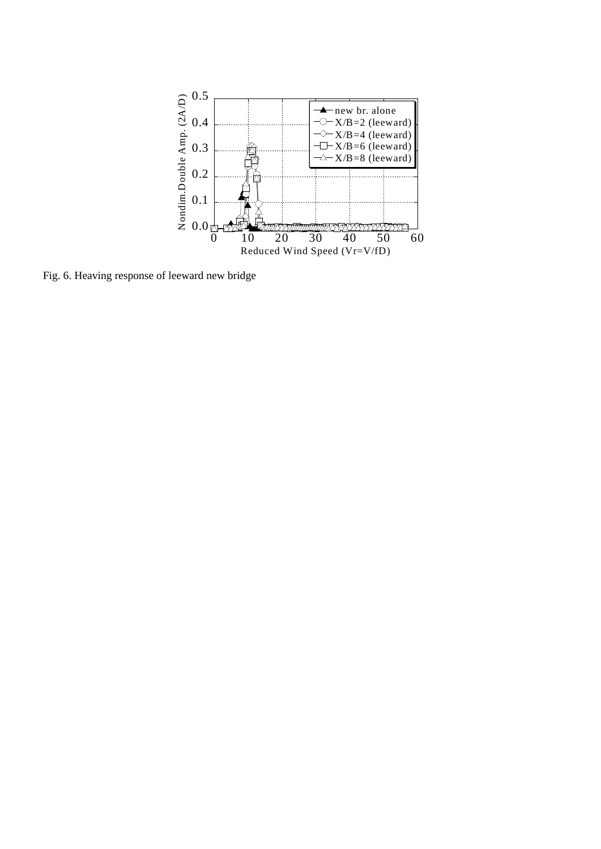

Fig. 6. Heaving response of leeward new bridge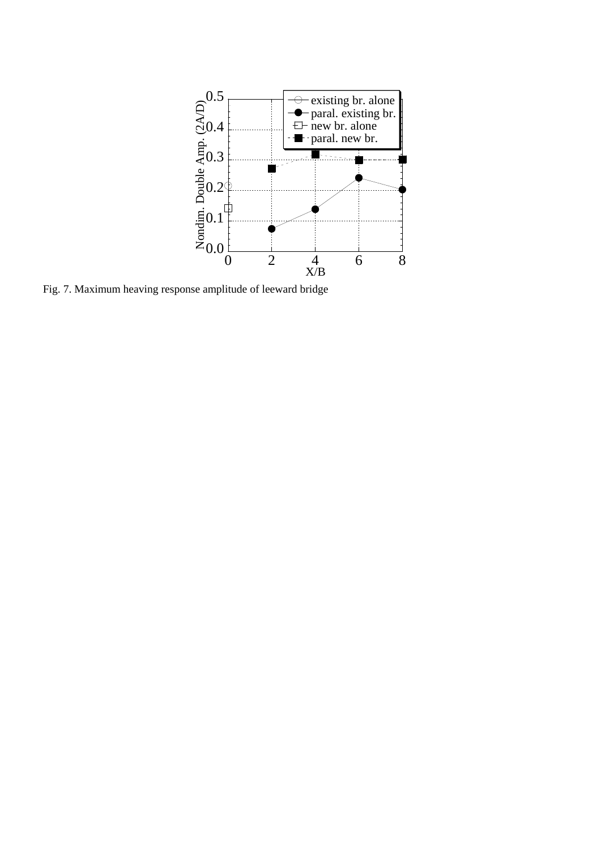

Fig. 7. Maximum heaving response amplitude of leeward bridge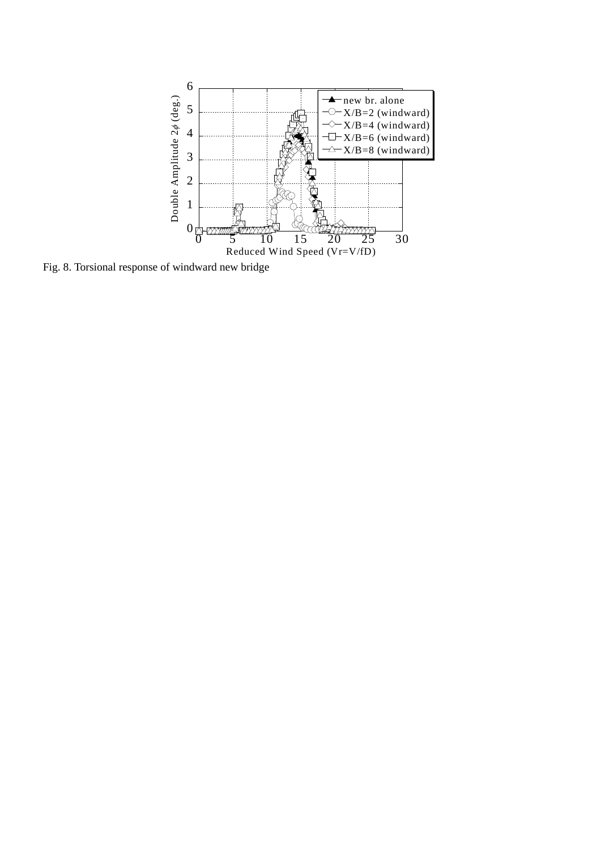

Fig. 8. Torsional response of windward new bridge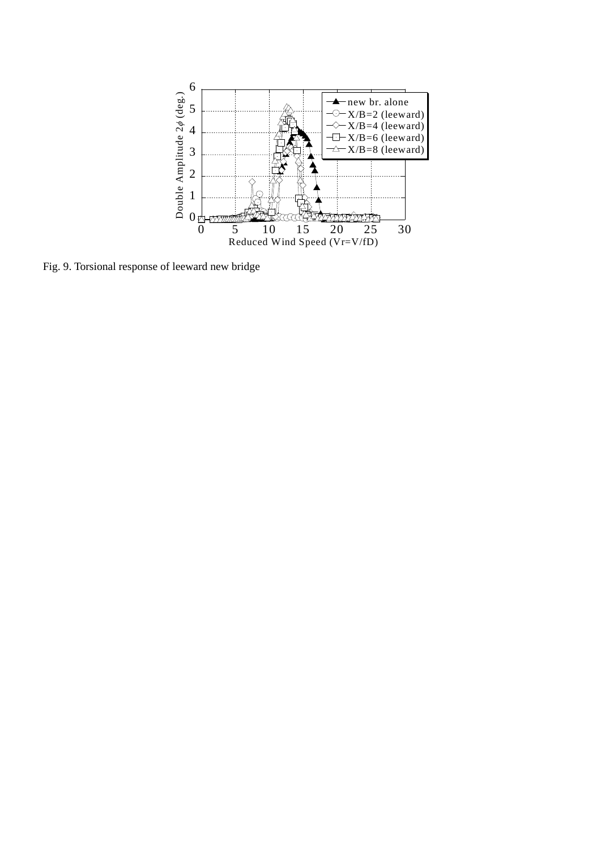

Fig. 9. Torsional response of leeward new bridge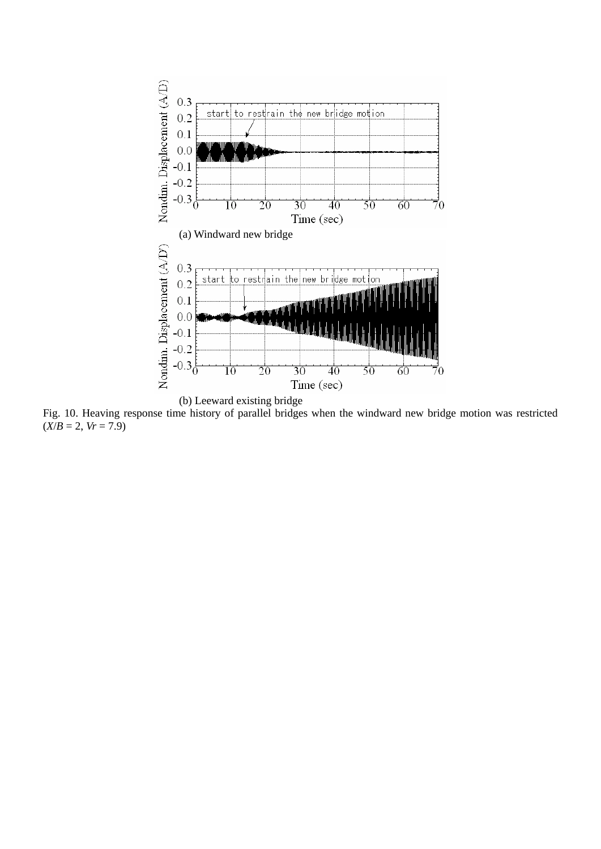

Fig. 10. Heaving response time history of parallel bridges when the windward new bridge motion was restricted  $(X/B = 2, Vr = 7.9)$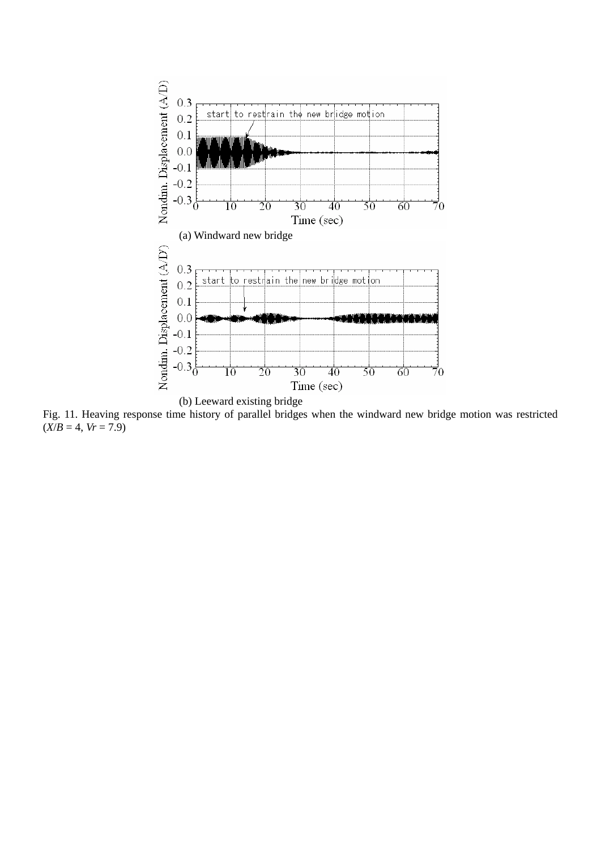

Fig. 11. Heaving response time history of parallel bridges when the windward new bridge motion was restricted  $(X/B = 4, Vr = 7.9)$